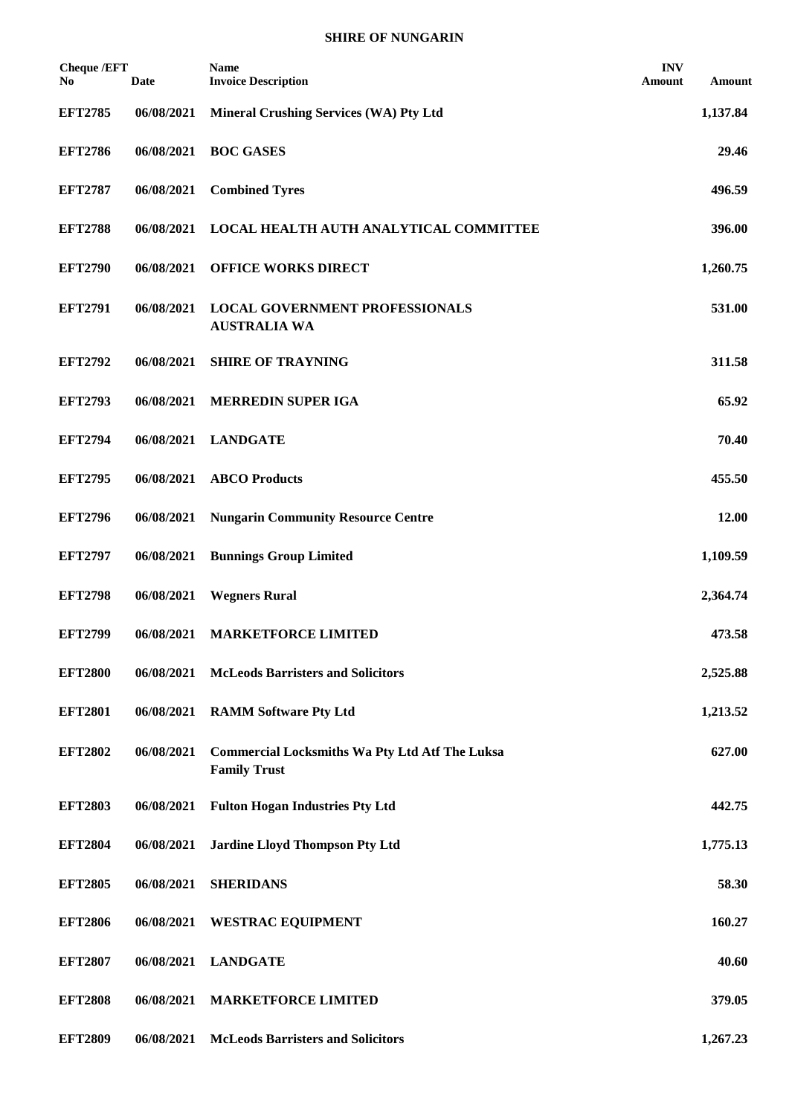| <b>Cheque /EFT</b><br>No. | <b>Date</b> | <b>Name</b><br><b>Invoice Description</b>                                    | <b>INV</b><br>Amount | Amount   |
|---------------------------|-------------|------------------------------------------------------------------------------|----------------------|----------|
| <b>EFT2785</b>            | 06/08/2021  | <b>Mineral Crushing Services (WA) Pty Ltd</b>                                |                      | 1,137.84 |
| <b>EFT2786</b>            | 06/08/2021  | <b>BOC GASES</b>                                                             |                      | 29.46    |
| <b>EFT2787</b>            | 06/08/2021  | <b>Combined Tyres</b>                                                        |                      | 496.59   |
| <b>EFT2788</b>            | 06/08/2021  | LOCAL HEALTH AUTH ANALYTICAL COMMITTEE                                       |                      | 396.00   |
| <b>EFT2790</b>            | 06/08/2021  | <b>OFFICE WORKS DIRECT</b>                                                   |                      | 1,260.75 |
| <b>EFT2791</b>            | 06/08/2021  | <b>LOCAL GOVERNMENT PROFESSIONALS</b><br><b>AUSTRALIA WA</b>                 |                      | 531.00   |
| <b>EFT2792</b>            | 06/08/2021  | <b>SHIRE OF TRAYNING</b>                                                     |                      | 311.58   |
| <b>EFT2793</b>            | 06/08/2021  | <b>MERREDIN SUPER IGA</b>                                                    |                      | 65.92    |
| <b>EFT2794</b>            | 06/08/2021  | <b>LANDGATE</b>                                                              |                      | 70.40    |
| <b>EFT2795</b>            | 06/08/2021  | <b>ABCO</b> Products                                                         |                      | 455.50   |
| <b>EFT2796</b>            | 06/08/2021  | <b>Nungarin Community Resource Centre</b>                                    |                      | 12.00    |
| <b>EFT2797</b>            | 06/08/2021  | <b>Bunnings Group Limited</b>                                                |                      | 1,109.59 |
| <b>EFT2798</b>            | 06/08/2021  | <b>Wegners Rural</b>                                                         |                      | 2,364.74 |
| <b>EFT2799</b>            | 06/08/2021  | <b>MARKETFORCE LIMITED</b>                                                   |                      | 473.58   |
| <b>EFT2800</b>            | 06/08/2021  | <b>McLeods Barristers and Solicitors</b>                                     |                      | 2,525.88 |
| <b>EFT2801</b>            | 06/08/2021  | <b>RAMM Software Pty Ltd</b>                                                 |                      | 1,213.52 |
| <b>EFT2802</b>            | 06/08/2021  | <b>Commercial Locksmiths Wa Pty Ltd Atf The Luksa</b><br><b>Family Trust</b> |                      | 627.00   |
| <b>EFT2803</b>            | 06/08/2021  | <b>Fulton Hogan Industries Pty Ltd</b>                                       |                      | 442.75   |
| <b>EFT2804</b>            | 06/08/2021  | <b>Jardine Lloyd Thompson Pty Ltd</b>                                        |                      | 1,775.13 |
| <b>EFT2805</b>            | 06/08/2021  | <b>SHERIDANS</b>                                                             |                      | 58.30    |
| <b>EFT2806</b>            | 06/08/2021  | <b>WESTRAC EQUIPMENT</b>                                                     |                      | 160.27   |
| <b>EFT2807</b>            | 06/08/2021  | <b>LANDGATE</b>                                                              |                      | 40.60    |
| <b>EFT2808</b>            | 06/08/2021  | <b>MARKETFORCE LIMITED</b>                                                   |                      | 379.05   |
| <b>EFT2809</b>            | 06/08/2021  | <b>McLeods Barristers and Solicitors</b>                                     |                      | 1,267.23 |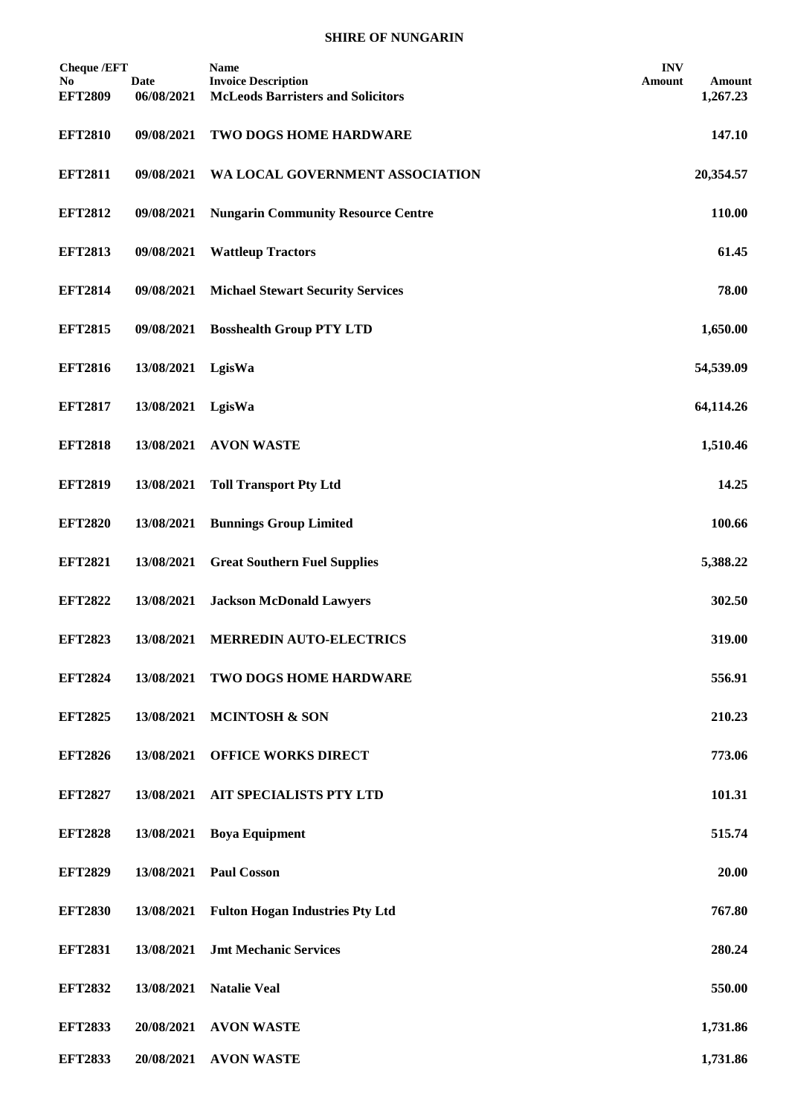| <b>Cheque /EFT</b><br>No.<br><b>EFT2809</b> | <b>Date</b><br>06/08/2021 | <b>Name</b><br><b>Invoice Description</b><br><b>McLeods Barristers and Solicitors</b> | <b>INV</b><br>Amount | Amount<br>1,267.23 |
|---------------------------------------------|---------------------------|---------------------------------------------------------------------------------------|----------------------|--------------------|
| <b>EFT2810</b>                              | 09/08/2021                | TWO DOGS HOME HARDWARE                                                                |                      | 147.10             |
| <b>EFT2811</b>                              | 09/08/2021                | WA LOCAL GOVERNMENT ASSOCIATION                                                       |                      | 20,354.57          |
| <b>EFT2812</b>                              | 09/08/2021                | <b>Nungarin Community Resource Centre</b>                                             |                      | 110.00             |
| <b>EFT2813</b>                              | 09/08/2021                | <b>Wattleup Tractors</b>                                                              |                      | 61.45              |
| <b>EFT2814</b>                              | 09/08/2021                | <b>Michael Stewart Security Services</b>                                              |                      | 78.00              |
| <b>EFT2815</b>                              | 09/08/2021                | <b>Bosshealth Group PTY LTD</b>                                                       |                      | 1,650.00           |
| <b>EFT2816</b>                              | 13/08/2021                | LgisWa                                                                                |                      | 54,539.09          |
| <b>EFT2817</b>                              | 13/08/2021                | LgisWa                                                                                |                      | 64,114.26          |
| <b>EFT2818</b>                              | 13/08/2021                | <b>AVON WASTE</b>                                                                     |                      | 1,510.46           |
| <b>EFT2819</b>                              | 13/08/2021                | <b>Toll Transport Pty Ltd</b>                                                         |                      | 14.25              |
| <b>EFT2820</b>                              | 13/08/2021                | <b>Bunnings Group Limited</b>                                                         |                      | 100.66             |
| <b>EFT2821</b>                              | 13/08/2021                | <b>Great Southern Fuel Supplies</b>                                                   |                      | 5,388.22           |
| <b>EFT2822</b>                              | 13/08/2021                | <b>Jackson McDonald Lawyers</b>                                                       |                      | 302.50             |
| <b>EFT2823</b>                              | 13/08/2021                | <b>MERREDIN AUTO-ELECTRICS</b>                                                        |                      | 319.00             |
| <b>EFT2824</b>                              | 13/08/2021                | <b>TWO DOGS HOME HARDWARE</b>                                                         |                      | 556.91             |
| <b>EFT2825</b>                              | 13/08/2021                | <b>MCINTOSH &amp; SON</b>                                                             |                      | 210.23             |
| <b>EFT2826</b>                              | 13/08/2021                | <b>OFFICE WORKS DIRECT</b>                                                            |                      | 773.06             |
| <b>EFT2827</b>                              | 13/08/2021                | AIT SPECIALISTS PTY LTD                                                               |                      | 101.31             |
| <b>EFT2828</b>                              | 13/08/2021                | <b>Boya Equipment</b>                                                                 |                      | 515.74             |
| <b>EFT2829</b>                              | 13/08/2021                | <b>Paul Cosson</b>                                                                    |                      | 20.00              |
| <b>EFT2830</b>                              | 13/08/2021                | <b>Fulton Hogan Industries Pty Ltd</b>                                                |                      | 767.80             |
| <b>EFT2831</b>                              | 13/08/2021                | <b>Jmt Mechanic Services</b>                                                          |                      | 280.24             |
| <b>EFT2832</b>                              | 13/08/2021                | <b>Natalie Veal</b>                                                                   |                      | 550.00             |
| <b>EFT2833</b>                              | 20/08/2021                | <b>AVON WASTE</b>                                                                     |                      | 1,731.86           |
| <b>EFT2833</b>                              |                           | 20/08/2021 AVON WASTE                                                                 |                      | 1,731.86           |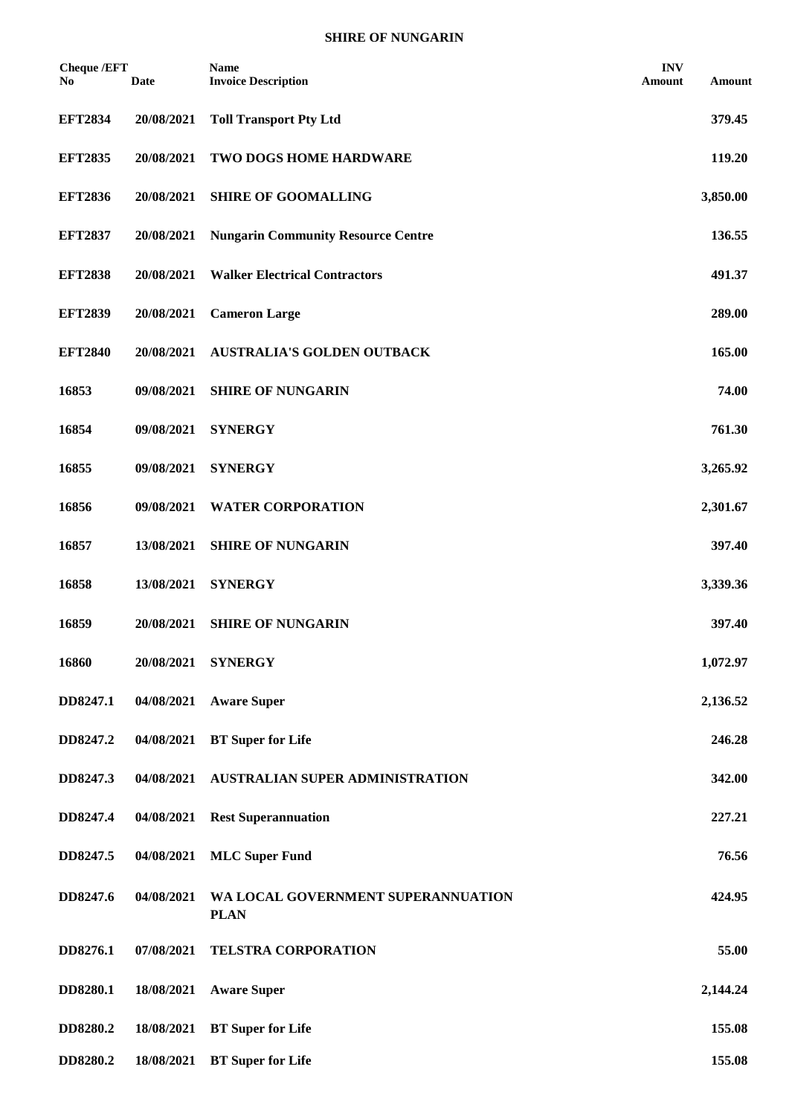| <b>Cheque /EFT</b><br>No. | <b>Date</b> | <b>Name</b><br><b>Invoice Description</b>         | <b>INV</b><br>Amount | Amount   |
|---------------------------|-------------|---------------------------------------------------|----------------------|----------|
| <b>EFT2834</b>            | 20/08/2021  | <b>Toll Transport Pty Ltd</b>                     |                      | 379.45   |
| <b>EFT2835</b>            | 20/08/2021  | TWO DOGS HOME HARDWARE                            |                      | 119.20   |
| <b>EFT2836</b>            | 20/08/2021  | <b>SHIRE OF GOOMALLING</b>                        |                      | 3,850.00 |
| <b>EFT2837</b>            | 20/08/2021  | <b>Nungarin Community Resource Centre</b>         |                      | 136.55   |
| <b>EFT2838</b>            | 20/08/2021  | <b>Walker Electrical Contractors</b>              |                      | 491.37   |
| <b>EFT2839</b>            | 20/08/2021  | <b>Cameron Large</b>                              |                      | 289.00   |
| <b>EFT2840</b>            | 20/08/2021  | <b>AUSTRALIA'S GOLDEN OUTBACK</b>                 |                      | 165.00   |
| 16853                     | 09/08/2021  | <b>SHIRE OF NUNGARIN</b>                          |                      | 74.00    |
| 16854                     | 09/08/2021  | <b>SYNERGY</b>                                    |                      | 761.30   |
| 16855                     | 09/08/2021  | <b>SYNERGY</b>                                    |                      | 3,265.92 |
| 16856                     | 09/08/2021  | <b>WATER CORPORATION</b>                          |                      | 2,301.67 |
| 16857                     | 13/08/2021  | <b>SHIRE OF NUNGARIN</b>                          |                      | 397.40   |
| 16858                     | 13/08/2021  | <b>SYNERGY</b>                                    |                      | 3,339.36 |
| 16859                     | 20/08/2021  | <b>SHIRE OF NUNGARIN</b>                          |                      | 397.40   |
| 16860                     | 20/08/2021  | <b>SYNERGY</b>                                    |                      | 1,072.97 |
| DD8247.1                  | 04/08/2021  | <b>Aware Super</b>                                |                      | 2,136.52 |
| DD8247.2                  | 04/08/2021  | <b>BT</b> Super for Life                          |                      | 246.28   |
| DD8247.3                  | 04/08/2021  | AUSTRALIAN SUPER ADMINISTRATION                   |                      | 342.00   |
| DD8247.4                  | 04/08/2021  | <b>Rest Superannuation</b>                        |                      | 227.21   |
| DD8247.5                  | 04/08/2021  | <b>MLC</b> Super Fund                             |                      | 76.56    |
| DD8247.6                  | 04/08/2021  | WA LOCAL GOVERNMENT SUPERANNUATION<br><b>PLAN</b> |                      | 424.95   |
| DD8276.1                  | 07/08/2021  | TELSTRA CORPORATION                               |                      | 55.00    |
| DD8280.1                  | 18/08/2021  | <b>Aware Super</b>                                |                      | 2,144.24 |
| DD8280.2                  | 18/08/2021  | <b>BT</b> Super for Life                          |                      | 155.08   |
| DD8280.2                  |             | 18/08/2021 BT Super for Life                      |                      | 155.08   |